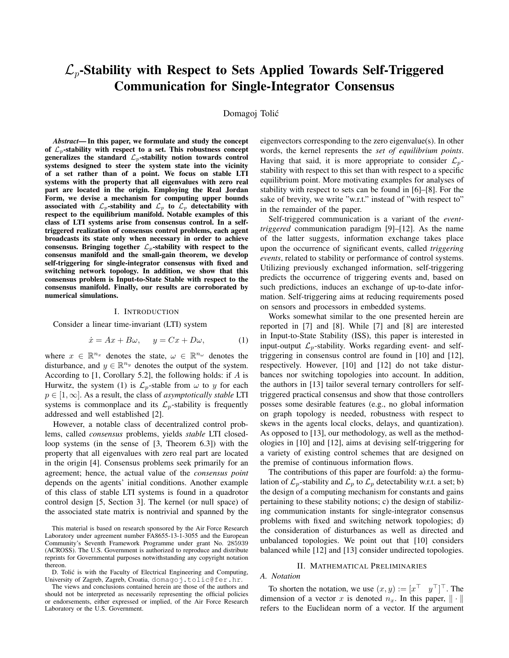# $\mathcal{L}_p$ -Stability with Respect to Sets Applied Towards Self-Triggered Communication for Single-Integrator Consensus

# Domagoj Tolic´

*Abstract*— In this paper, we formulate and study the concept of  $\mathcal{L}_p$ -stability with respect to a set. This robustness concept generalizes the standard  $\mathcal{L}_p$ -stability notion towards control systems designed to steer the system state into the vicinity of a set rather than of a point. We focus on stable LTI systems with the property that all eigenvalues with zero real part are located in the origin. Employing the Real Jordan Form, we devise a mechanism for computing upper bounds associated with  $\mathcal{L}_p$ -stability and  $\mathcal{L}_p$  to  $\mathcal{L}_p$  detectability with respect to the equilibrium manifold. Notable examples of this class of LTI systems arise from consensus control. In a selftriggered realization of consensus control problems, each agent broadcasts its state only when necessary in order to achieve consensus. Bringing together  $\mathcal{L}_p$ -stability with respect to the consensus manifold and the small-gain theorem, we develop self-triggering for single-integrator consensus with fixed and switching network topology. In addition, we show that this consensus problem is Input-to-State Stable with respect to the consensus manifold. Finally, our results are corroborated by numerical simulations.

### I. INTRODUCTION

Consider a linear time-invariant (LTI) system

$$
\dot{x} = Ax + B\omega, \quad y = Cx + D\omega,\tag{1}
$$

where  $x \in \mathbb{R}^{n_x}$  denotes the state,  $\omega \in \mathbb{R}^{n_\omega}$  denotes the disturbance, and  $y \in \mathbb{R}^{n_y}$  denotes the output of the system. According to  $[1,$  Corollary 5.2], the following holds: if  $A$  is Hurwitz, the system (1) is  $\mathcal{L}_p$ -stable from  $\omega$  to y for each p ∈ [1, ∞]. As a result, the class of *asymptotically stable* LTI systems is commonplace and its  $\mathcal{L}_p$ -stability is frequently addressed and well established [2].

However, a notable class of decentralized control problems, called *consensus* problems, yields *stable* LTI closedloop systems (in the sense of [3, Theorem 6.3]) with the property that all eigenvalues with zero real part are located in the origin [4]. Consensus problems seek primarily for an agreement; hence, the actual value of the *consensus point* depends on the agents' initial conditions. Another example of this class of stable LTI systems is found in a quadrotor control design [5, Section 3]. The kernel (or null space) of the associated state matrix is nontrivial and spanned by the eigenvectors corresponding to the zero eigenvalue(s). In other words, the kernel represents the *set of equilibrium points*. Having that said, it is more appropriate to consider  $\mathcal{L}_p$ stability with respect to this set than with respect to a specific equilibrium point. More motivating examples for analyses of stability with respect to sets can be found in [6]–[8]. For the sake of brevity, we write "w.r.t." instead of "with respect to" in the remainder of the paper.

Self-triggered communication is a variant of the *eventtriggered* communication paradigm [9]–[12]. As the name of the latter suggests, information exchange takes place upon the occurrence of significant events, called *triggering events*, related to stability or performance of control systems. Utilizing previously exchanged information, self-triggering predicts the occurrence of triggering events and, based on such predictions, induces an exchange of up-to-date information. Self-triggering aims at reducing requirements posed on sensors and processors in embedded systems.

Works somewhat similar to the one presented herein are reported in [7] and [8]. While [7] and [8] are interested in Input-to-State Stability (ISS), this paper is interested in input-output  $\mathcal{L}_p$ -stability. Works regarding event- and selftriggering in consensus control are found in [10] and [12], respectively. However, [10] and [12] do not take disturbances nor switching topologies into account. In addition, the authors in [13] tailor several ternary controllers for selftriggered practical consensus and show that those controllers posses some desirable features (e.g., no global information on graph topology is needed, robustness with respect to skews in the agents local clocks, delays, and quantization). As opposed to [13], our methodology, as well as the methodologies in [10] and [12], aims at devising self-triggering for a variety of existing control schemes that are designed on the premise of continuous information flows.

The contributions of this paper are fourfold: a) the formulation of  $\mathcal{L}_p$ -stability and  $\mathcal{L}_p$  to  $\mathcal{L}_p$  detectability w.r.t. a set; b) the design of a computing mechanism for constants and gains pertaining to these stability notions; c) the design of stabilizing communication instants for single-integrator consensus problems with fixed and switching network topologies; d) the consideration of disturbances as well as directed and unbalanced topologies. We point out that [10] considers balanced while [12] and [13] consider undirected topologies.

# II. MATHEMATICAL PRELIMINARIES

# *A. Notation*

To shorten the notation, we use  $(x, y) := [x^\top \ y^\top]^\top$ . The dimension of a vector x is denoted  $n_x$ . In this paper,  $\|\cdot\|$ refers to the Euclidean norm of a vector. If the argument

This material is based on research sponsored by the Air Force Research Laboratory under agreement number FA8655-13-1-3055 and the European Community's Seventh Framework Programme under grant No. 285939 (ACROSS). The U.S. Government is authorized to reproduce and distribute reprints for Governmental purposes notwithstanding any copyright notation thereon.

D. Tolić is with the Faculty of Electrical Engineering and Computing, University of Zagreb, Zagreb, Croatia, domagoj.tolic@fer.hr.

The views and conclusions contained herein are those of the authors and should not be interpreted as necessarily representing the official policies or endorsements, either expressed or implied, of the Air Force Research Laboratory or the U.S. Government.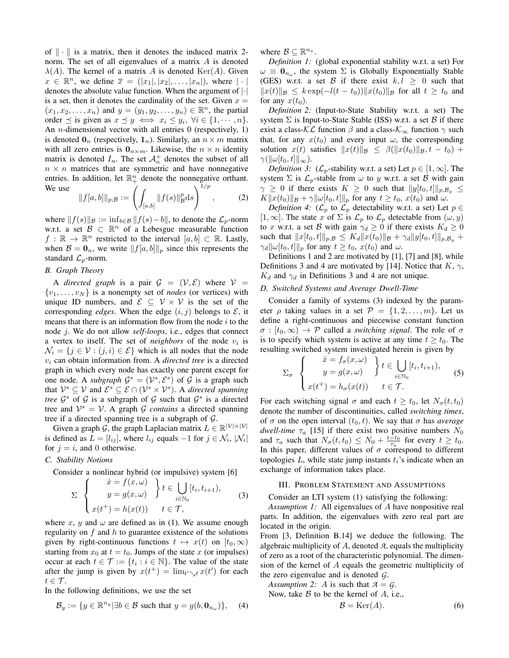of  $\|\cdot\|$  is a matrix, then it denotes the induced matrix 2norm. The set of all eigenvalues of a matrix A is denoted  $\lambda(A)$ . The kernel of a matrix A is denoted Ker(A). Given  $x \in \mathbb{R}^n$ , we define  $\overline{x} = (|x_1|, |x_2|, \ldots, |x_n|)$ , where  $|\cdot|$ denotes the absolute value function. When the argument of |·| is a set, then it denotes the cardinality of the set. Given  $x =$  $(x_1, x_2, \ldots, x_n)$  and  $y = (y_1, y_2, \ldots, y_n) \in \mathbb{R}^n$ , the partial order  $\preceq$  is given as  $x \preceq y \iff x_i \leq y_i, \forall i \in \{1, \cdots, n\}.$ An *n*-dimensional vector with all entries 0 (respectively, 1) is denoted  $\mathbf{0}_n$  (respectively,  $\mathbf{1}_n$ ). Similarly, an  $n \times m$  matrix with all zero entries is  $\mathbf{0}_{n \times m}$ . Likewise, the  $n \times n$  identity matrix is denoted  $I_n$ . The set  $\mathcal{A}_n^+$  denotes the subset of all  $n \times n$  matrices that are symmetric and have nonnegative entries. In addition, let  $\mathbb{R}^n_+$  denote the nonnegative orthant. We use  $\lambda^{1/p}$ 

$$
||f[a,b]||_{p,\mathcal{B}} := \left(\int_{[a,b]} ||f(s)||_{\mathcal{B}}^p ds\right)^{1/p},\tag{2}
$$

where  $||f(s)||_{\mathcal{B}} := \inf_{b \in \mathcal{B}} ||f(s)-b||$ , to denote the  $\mathcal{L}_p$ -norm w.r.t. a set  $\mathcal{B} \subset \mathbb{R}^n$  of a Lebesgue measurable function  $f : \mathbb{R} \to \mathbb{R}^n$  restricted to the interval  $[a, b] \subset \mathbb{R}$ . Lastly, when  $\mathcal{B} = \mathbf{0}_n$ , we write  $||f[a, b]||_p$  since this represents the standard  $\mathcal{L}_p$ -norm.

### *B. Graph Theory*

A *directed graph* is a pair  $G = (\mathcal{V}, \mathcal{E})$  where  $\mathcal{V} =$  $\{v_1, \ldots, v_N\}$  is a nonempty set of *nodes* (or vertices) with unique ID numbers, and  $\mathcal{E} \subseteq \mathcal{V} \times \mathcal{V}$  is the set of the corresponding *edges*. When the edge  $(i, j)$  belongs to  $\mathcal{E}$ , it means that there is an information flow from the node  $i$  to the node j. We do not allow *self-loops*, i.e., edges that connect a vertex to itself. The set of *neighbors* of the node  $v_i$  is  $\mathcal{N}_i = \{j \in \mathcal{V} : (j, i) \in \mathcal{E}\}\$  which is all nodes that the node v<sup>i</sup> can obtain information from. A *directed tree* is a directed graph in which every node has exactly one parent except for one node. A *subgraph*  $G^s = (\mathcal{V}^s, \mathcal{E}^s)$  of G is a graph such that  $\mathcal{V}^s \subseteq \mathcal{V}$  and  $\mathcal{E}^s \subseteq \mathcal{E} \cap (\mathcal{V}^s \times \mathcal{V}^s)$ . A *directed spanning tree*  $\mathcal{G}^s$  of  $\mathcal{G}$  is a subgraph of  $\mathcal{G}$  such that  $\mathcal{G}^s$  is a directed tree and  $V^s = V$ . A graph G *contains* a directed spanning tree if a directed spanning tree is a subgraph of  $\mathcal{G}$ .

Given a graph  $\mathcal{G}$ , the graph Laplacian matrix  $L \in \mathbb{R}^{|\mathcal{V}| \times |\mathcal{V}|}$ is defined as  $L = [l_{ij}]$ , where  $l_{ij}$  equals  $-1$  for  $j \in \mathcal{N}_i$ ,  $|\mathcal{N}_i|$ for  $j = i$ , and 0 otherwise.

### *C. Stability Notions*

Consider a nonlinear hybrid (or impulsive) system [6]

$$
\Sigma \begin{cases} \dot{x} = f(x, \omega) \\ y = g(x, \omega) \end{cases} t \in \bigcup_{i \in \mathbb{N}_0} [t_i, t_{i+1}), \quad (3) \\ x(t^+) = h(x(t)) \quad t \in \mathcal{T},
$$

where x, y and  $\omega$  are defined as in (1). We assume enough regularity on  $f$  and  $h$  to guarantee existence of the solutions given by right-continuous functions  $t \mapsto x(t)$  on  $[t_0, \infty)$ starting from  $x_0$  at  $t = t_0$ . Jumps of the state x (or impulses) occur at each  $t \in \mathcal{T} := \{t_i : i \in \mathbb{N}\}\.$  The value of the state after the jump is given by  $x(t^+) = \lim_{t \to t} x(t')$  for each  $t \in \mathcal{T}$ .

In the following definitions, we use the set

$$
\mathcal{B}_y := \{ y \in \mathbb{R}^{n_y} \, | \, \exists b \in \mathcal{B} \text{ such that } y = g(b, \mathbf{0}_{n_\omega}) \}, \quad (4)
$$

where  $\mathcal{B} \subseteq \mathbb{R}^{n_x}$ .

*Definition 1:* (global exponential stability w.r.t. a set) For  $\omega \equiv \mathbf{0}_{n_{\omega}}$ , the system  $\Sigma$  is Globally Exponentially Stable (GES) w.r.t. a set B if there exist  $k, l \geq 0$  such that  $||x(t)||_{\mathcal{B}} \leq k \exp(-l(t-t_0))||x(t_0)||_{\mathcal{B}}$  for all  $t \geq t_0$  and for any  $x(t_0)$ .

*Definition 2:* (Input-to-State Stability w.r.t. a set) The system  $\Sigma$  is Input-to-State Stable (ISS) w.r.t. a set  $\beta$  if there exist a class- $\mathcal{KL}$  function  $\beta$  and a class- $\mathcal{K}_{\infty}$  function  $\gamma$  such that, for any  $x(t_0)$  and every input  $\omega$ , the corresponding solution  $x(t)$  satisfies  $||x(t)||_{\mathcal{B}} \leq \beta(||x(t_0)||_{\mathcal{B}}, t - t_0) +$  $\gamma(\|\omega[t_0, t]\|_{\infty}).$ 

*Definition 3:* ( $\mathcal{L}_p$ -stability w.r.t. a set) Let  $p \in [1, \infty]$ . The system  $\Sigma$  is  $\mathcal{L}_p$ -stable from  $\omega$  to y w.r.t. a set  $\beta$  with gain  $\gamma \geq 0$  if there exists  $K \geq 0$  such that  $||y[t_0, t]||_{p,\mathcal{B}_y} \leq$  $K||x(t_0)||_{\mathcal{B}} + \gamma ||\omega[t_0, t]||_p$  for any  $t \geq t_0$ ,  $x(t_0)$  and  $\omega$ .

*Definition 4:* ( $\mathcal{L}_p$  to  $\mathcal{L}_p$  detectability w.r.t. a set) Let  $p \in$ [1,  $\infty$ ]. The state x of  $\Sigma$  is  $\mathcal{L}_p$  to  $\mathcal{L}_p$  detectable from  $(\omega, y)$ to x w.r.t. a set B with gain  $\gamma_d \geq 0$  if there exists  $K_d \geq 0$ such that  $||x[t_0, t]||_{p,\mathcal{B}} \leq K_d ||x(t_0)||_{\mathcal{B}} + \gamma_d ||y[t_0, t]||_{p,\mathcal{B}_y}$  +  $\gamma_d \|\omega[t_0, t]\|_p$  for any  $t \ge t_0$ ,  $x(t_0)$  and  $\omega$ .

Definitions 1 and 2 are motivated by [1], [7] and [8], while Definitions 3 and 4 are motivated by [14]. Notice that  $K$ ,  $\gamma$ ,  $K_d$  and  $\gamma_d$  in Definitions 3 and 4 are not unique.

# *D. Switched Systems and Average Dwell-Time*

Consider a family of systems (3) indexed by the parameter  $\rho$  taking values in a set  $\mathcal{P} = \{1, 2, \ldots, m\}$ . Let us define a right-continuous and piecewise constant function  $\sigma : [t_0, \infty) \to \mathcal{P}$  called a *switching signal*. The role of  $\sigma$ is to specify which system is active at any time  $t \geq t_0$ . The resulting switched system investigated herein is given by

$$
\Sigma_{\sigma} \left\{ \begin{aligned} \dot{x} &= f_{\sigma}(x, \omega) \\ y &= g(x, \omega) \end{aligned} \right\} t \in \bigcup_{i \in \mathbb{N}_0} [t_i, t_{i+1}), \quad (5) \\ x(t^+) &= h_{\sigma}(x(t)) \quad t \in \mathcal{T}.
$$

For each switching signal  $\sigma$  and each  $t \geq t_0$ , let  $N_{\sigma}(t, t_0)$ denote the number of discontinuities, called *switching times*, of  $\sigma$  on the open interval  $(t_0, t)$ . We say that  $\sigma$  has *average dwell-time*  $\tau_a$  [15] if there exist two positive numbers  $N_0$ and  $\tau_a$  such that  $N_{\sigma}(t, t_0) \leq N_0 + \frac{t-t_0}{\tau_a}$  for every  $t \geq t_0$ . In this paper, different values of  $\sigma$  correspond to different topologies  $L$ , while state jump instants  $t_i$ 's indicate when an exchange of information takes place.

# III. PROBLEM STATEMENT AND ASSUMPTIONS

Consider an LTI system (1) satisfying the following:

*Assumption 1:* All eigenvalues of A have nonpositive real parts. In addition, the eigenvalues with zero real part are located in the origin.

From [3, Definition B.14] we deduce the following. The algebraic multiplicity of A, denoted *A*, equals the multiplicity of zero as a root of the characteristic polynomial. The dimension of the kernel of A equals the geometric multiplicity of the zero eigenvalue and is denoted *G*.

*Assumption 2: A* is such that  $A = G$ .

Now, take  $\beta$  to be the kernel of  $A$ , i.e.,

$$
\mathcal{B} = \text{Ker}(A). \tag{6}
$$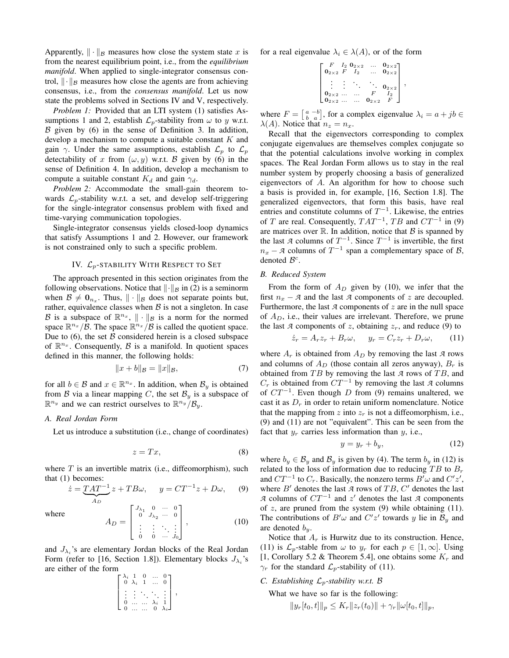Apparently,  $\|\cdot\|_{\mathcal{B}}$  measures how close the system state x is from the nearest equilibrium point, i.e., from the *equilibrium manifold*. When applied to single-integrator consensus control,  $\|\cdot\|_{\mathcal{B}}$  measures how close the agents are from achieving consensus, i.e., from the *consensus manifold*. Let us now state the problems solved in Sections IV and V, respectively.

*Problem 1:* Provided that an LTI system (1) satisfies Assumptions 1 and 2, establish  $\mathcal{L}_p$ -stability from  $\omega$  to y w.r.t.  $\beta$  given by (6) in the sense of Definition 3. In addition, develop a mechanism to compute a suitable constant  $K$  and gain  $\gamma$ . Under the same assumptions, establish  $\mathcal{L}_p$  to  $\mathcal{L}_p$ detectability of x from  $(\omega, y)$  w.r.t. B given by (6) in the sense of Definition 4. In addition, develop a mechanism to compute a suitable constant  $K_d$  and gain  $\gamma_d$ .

*Problem 2:* Accommodate the small-gain theorem towards  $\mathcal{L}_p$ -stability w.r.t. a set, and develop self-triggering for the single-integrator consensus problem with fixed and time-varying communication topologies.

Single-integrator consensus yields closed-loop dynamics that satisfy Assumptions 1 and 2. However, our framework is not constrained only to such a specific problem.

# IV.  $\mathcal{L}_p$ -STABILITY WITH RESPECT TO SET

The approach presented in this section originates from the following observations. Notice that  $\|\cdot\|_{\mathcal{B}}$  in (2) is a seminorm when  $\mathcal{B} \neq \mathbf{0}_{n_x}$ . Thus,  $\|\cdot\|_{\mathcal{B}}$  does not separate points but, rather, equivalence classes when  $\beta$  is not a singleton. In case B is a subspace of  $\mathbb{R}^{n_x}$ ,  $\|\cdot\|_{\mathcal{B}}$  is a norm for the normed space  $\mathbb{R}^{n_x}/\mathcal{B}$ . The space  $\mathbb{R}^{n_x}/\mathcal{B}$  is called the quotient space. Due to  $(6)$ , the set  $\beta$  considered herein is a closed subspace of  $\mathbb{R}^{n_x}$ . Consequently,  $\beta$  is a manifold. In quotient spaces defined in this manner, the following holds:

$$
||x + b||_{\mathcal{B}} = ||x||_{\mathcal{B}}, \tag{7}
$$

for all  $b \in \mathcal{B}$  and  $x \in \mathbb{R}^{n_x}$ . In addition, when  $\mathcal{B}_y$  is obtained from B via a linear mapping C, the set  $\mathcal{B}_y$  is a subspace of  $\mathbb{R}^{n_y}$  and we can restrict ourselves to  $\mathbb{R}^{n_y} / \mathcal{B}_y$ .

### *A. Real Jordan Form*

Let us introduce a substitution (i.e., change of coordinates)

$$
z = Tx,\t\t(8)
$$

where  $T$  is an invertible matrix (i.e., diffeomorphism), such that (1) becomes:

$$
\dot{z} = \underbrace{TAT^{-1}}_{A_D} z + TB\omega, \qquad y = CT^{-1}z + D\omega, \qquad (9)
$$

where

$$
A_D = \begin{bmatrix} J_{\lambda_1} & 0 & \cdots & 0 \\ 0 & J_{\lambda_2} & \cdots & 0 \\ \vdots & \vdots & \ddots & \vdots \\ 0 & 0 & \cdots & J_0 \end{bmatrix},
$$
(10)

and  $J_{\lambda_i}$ 's are elementary Jordan blocks of the Real Jordan Form (refer to [16, Section 1.8]). Elementary blocks  $J_{\lambda_i}$ 's are either of the form

$$
\begin{bmatrix}\n\lambda_i & 1 & 0 & \cdots & 0 \\
0 & \lambda_i & 1 & \cdots & 0 \\
\vdots & \vdots & \ddots & \ddots & \vdots \\
0 & \cdots & \cdots & \lambda_i & 1 \\
0 & \cdots & \cdots & 0 & \lambda_i\n\end{bmatrix},
$$

for a real eigenvalue  $\lambda_i \in \lambda(A)$ , or of the form

$$
\begin{bmatrix} F & I_2 & 0_{2 \times 2} & \dots & 0_{2 \times 2} \\ 0_{2 \times 2} & F & I_2 & \dots & 0_{2 \times 2} \\ \vdots & \vdots & \ddots & \ddots & 0_{2 \times 2} \\ 0_{2 \times 2} & \dots & \dots & F & I_2 \\ 0_{2 \times 2} & \dots & \dots & 0_{2 \times 2} & F \end{bmatrix},
$$

where  $F = \begin{bmatrix} a & -b \\ b & a \end{bmatrix}$ , for a complex eigenvalue  $\lambda_i = a + jb \in$  $\lambda(A)$ . Notice that  $n_z = n_x$ .

Recall that the eigenvectors corresponding to complex conjugate eigenvalues are themselves complex conjugate so that the potential calculations involve working in complex spaces. The Real Jordan Form allows us to stay in the real number system by properly choosing a basis of generalized eigenvectors of A. An algorithm for how to choose such a basis is provided in, for example, [16, Section 1.8]. The generalized eigenvectors, that form this basis, have real entries and constitute columns of  $T^{-1}$ . Likewise, the entries of T are real. Consequently,  $TAT^{-1}$ ,  $TB$  and  $CT^{-1}$  in (9) are matrices over  $\mathbb R$ . In addition, notice that  $\mathcal B$  is spanned by the last *A* columns of  $T^{-1}$ . Since  $T^{-1}$  is invertible, the first  $n_x - A$  columns of  $T^{-1}$  span a complementary space of B, denoted  $\mathcal{B}^c$ .

### *B. Reduced System*

From the form of  $A_D$  given by (10), we infer that the first  $n_x - A$  and the last  $A$  components of  $z$  are decoupled. Furthermore, the last *A* components of *z* are in the null space of  $A<sub>D</sub>$ , i.e., their values are irrelevant. Therefore, we prune the last *A* components of *z*, obtaining  $z_r$ , and reduce (9) to

$$
\dot{z}_r = A_r z_r + B_r \omega, \quad y_r = C_r z_r + D_r \omega, \quad (11)
$$

where  $A_r$  is obtained from  $A_D$  by removing the last  $A$  rows and columns of  $A_D$  (those contain all zeros anyway),  $B_r$  is obtained from  $TB$  by removing the last  $A$  rows of  $TB$ , and  $C_r$  is obtained from  $CT^{-1}$  by removing the last *A* columns of  $CT^{-1}$ . Even though D from (9) remains unaltered, we cast it as  $D<sub>r</sub>$  in order to retain uniform nomenclature. Notice that the mapping from z into  $z_r$  is not a diffeomorphism, i.e., (9) and (11) are not "equivalent". This can be seen from the fact that  $y_r$  carries less information than  $y$ , i.e.,

$$
y = y_r + b_y,\tag{12}
$$

where  $b_y \in \mathcal{B}_y$  and  $\mathcal{B}_y$  is given by (4). The term  $b_y$  in (12) is related to the loss of information due to reducing  $TB$  to  $B<sub>r</sub>$ and  $CT^{-1}$  to  $C_r$ . Basically, the nonzero terms  $B'\omega$  and  $C'z'$ , where  $B'$  denotes the last  $A$  rows of  $TB$ ,  $C'$  denotes the last *A* columns of  $CT^{-1}$  and  $z'$  denotes the last *A* components of  $z$ , are pruned from the system (9) while obtaining (11). The contributions of  $B' \omega$  and  $C' z'$  towards y lie in  $\mathcal{B}_y$  and are denoted  $b_y$ .

Notice that  $A_r$  is Hurwitz due to its construction. Hence, (11) is  $\mathcal{L}_p$ -stable from  $\omega$  to  $y_r$  for each  $p \in [1,\infty]$ . Using [1, Corollary 5.2 & Theorem 5.4], one obtains some  $K_r$  and  $\gamma_r$  for the standard  $\mathcal{L}_p$ -stability of (11).

*C. Establishing*  $\mathcal{L}_p$ -stability w.r.t.  $\beta$ 

What we have so far is the following:

$$
||y_r[t_0,t]||_p \le K_r ||z_r(t_0)|| + \gamma_r ||\omega[t_0,t]||_p,
$$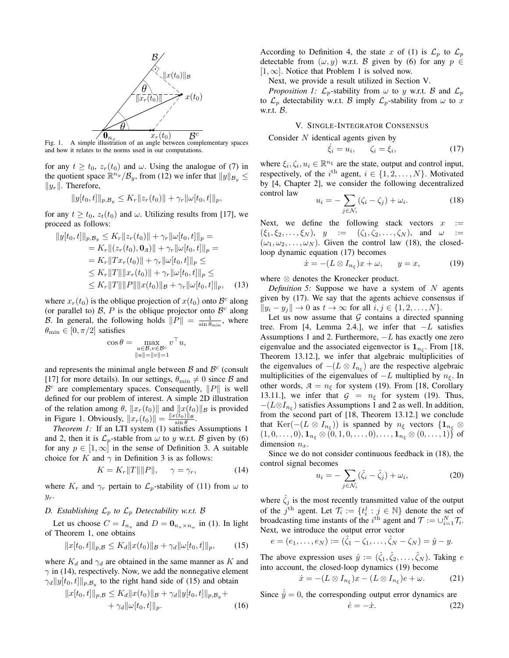

Fig. 1. A simple illustration of an angle between complementary spaces and how it relates to the norms used in our computations.

for any  $t \ge t_0$ ,  $z_r(t_0)$  and  $\omega$ . Using the analogue of (7) in the quotient space  $\mathbb{R}^{n_y}/\mathcal{B}_y$ , from (12) we infer that  $||y||_{\mathcal{B}_y} \le$  $||y_r||$ . Therefore,

$$
||y[t_0,t]||_{p,\mathcal{B}_y} \le K_r ||z_r(t_0)|| + \gamma_r ||\omega[t_0,t]||_p,
$$

for any  $t \geq t_0$ ,  $z_t(t_0)$  and  $\omega$ . Utilizing results from [17], we proceed as follows:

$$
||y[t_0, t]||_{p, B_y} \le K_r ||z_r(t_0)|| + \gamma_r ||\omega[t_0, t]||_p =
$$
  
\n
$$
= K_r ||(z_r(t_0), \mathbf{0}_A)|| + \gamma_r ||\omega[t_0, t]||_p =
$$
  
\n
$$
= K_r ||Tx_r(t_0)|| + \gamma_r ||\omega[t_0, t]||_p \le
$$
  
\n
$$
\le K_r ||T|| ||x_r(t_0)|| + \gamma_r ||\omega[t_0, t]||_p \le
$$
  
\n
$$
\le K_r ||T|| ||P|| ||x(t_0)||_B + \gamma_r ||\omega[t_0, t]||_p, \quad (13)
$$

where  $x_r(t_0)$  is the oblique projection of  $x(t_0)$  onto  $\mathcal{B}^c$  along (or parallel to)  $\beta$ , P is the oblique projector onto  $\beta^c$  along B. In general, the following holds  $||P|| = \frac{1}{\sin \theta_{\min}}$ , where  $\theta_{\min} \in [0, \pi/2]$  satisfies

$$
\cos \theta = \max_{\substack{u \in \mathcal{B}, v \in \mathcal{B}^c \\ \|u\| = \|v\| = 1}} v^\top u,
$$

and represents the minimal angle between  $\beta$  and  $\beta^c$  (consult [17] for more details). In our settings,  $\theta_{\min} \neq 0$  since B and  $\mathcal{B}^c$  are complementary spaces. Consequently,  $||P||$  is well defined for our problem of interest. A simple 2D illustration of the relation among  $\theta$ ,  $||x_r(t_0)||$  and  $||x(t_0)||_{\mathcal{B}}$  is provided in Figure 1. Obviously,  $||x_r(t_0)|| = \frac{||x(t_0)||_B}{\sin \theta}$ .

*Theorem 1:* If an LTI system (1) satisfies Assumptions 1 and 2, then it is  $\mathcal{L}_p$ -stable from  $\omega$  to y w.r.t. B given by (6) for any  $p \in [1,\infty]$  in the sense of Definition 3. A suitable choice for K and  $\gamma$  in Definition 3 is as follows:

$$
K = K_r ||T|| ||P||, \quad \gamma = \gamma_r,
$$
 (14)

where  $K_r$  and  $\gamma_r$  pertain to  $\mathcal{L}_p$ -stability of (11) from  $\omega$  to  $y_r$ .

# *D. Establishing*  $\mathcal{L}_p$  *to*  $\mathcal{L}_p$  *Detectability w.r.t. B*

Let us choose  $C = I_{n_x}$  and  $D = \mathbf{0}_{n_x \times n_\omega}$  in (1). In light of Theorem 1, one obtains

$$
||x[t_0, t]||_{p, \mathcal{B}} \le K_d ||x(t_0)||_{\mathcal{B}} + \gamma_d ||\omega[t_0, t]||_p, \qquad (15)
$$

where  $K_d$  and  $\gamma_d$  are obtained in the same manner as K and  $\gamma$  in (14), respectively. Now, we add the nonnegative element  $\gamma_d ||y[t_0, t]||_{p, \mathcal{B}_y}$  to the right hand side of (15) and obtain

$$
||x[t_0, t]||_{p, \mathcal{B}} \le K_d ||x(t_0)||_{\mathcal{B}} + \gamma_d ||y[t_0, t]||_{p, \mathcal{B}_y} + + \gamma_d ||\omega[t_0, t]||_p.
$$
 (16)

According to Definition 4, the state x of (1) is  $\mathcal{L}_p$  to  $\mathcal{L}_p$ detectable from  $(\omega, y)$  w.r.t. B given by (6) for any  $p \in$  $[1, \infty]$ . Notice that Problem 1 is solved now.

Next, we provide a result utilized in Section V.

*Proposition 1:*  $\mathcal{L}_p$ -stability from  $\omega$  to y w.r.t. B and  $\mathcal{L}_p$ to  $\mathcal{L}_p$  detectability w.r.t. B imply  $\mathcal{L}_p$ -stability from  $\omega$  to x w.r.t. B.

V. SINGLE-INTEGRATOR CONSENSUS

Consider N identical agents given by

$$
\dot{\xi}_i = u_i, \qquad \zeta_i = \xi_i,\tag{17}
$$

where  $\xi_i, \zeta_i, u_i \in \mathbb{R}^{n_{\xi}}$  are the state, output and control input, respectively, of the  $i^{\text{th}}$  agent,  $i \in \{1, 2, ..., N\}$ . Motivated by [4, Chapter 2], we consider the following decentralized control law

$$
u_i = -\sum_{j \in \mathcal{N}_i} (\zeta_i - \zeta_j) + \omega_i.
$$
 (18)

Next, we define the following stack vectors  $x :=$  $(\xi_1, \xi_2, \ldots, \xi_N)$ ,  $y := (\zeta_1, \zeta_2, \ldots, \zeta_N)$ , and  $\omega :=$  $(\omega_1, \omega_2, \ldots, \omega_N)$ . Given the control law (18), the closedloop dynamic equation (17) becomes

$$
\dot{x} = -(L \otimes I_{n_{\xi}})x + \omega, \qquad y = x,\tag{19}
$$

where ⊗ denotes the Kronecker product.

*Definition 5:* Suppose we have a system of  $N$  agents given by (17). We say that the agents achieve consensus if  $||y_i - y_j|| \to 0$  as  $t \to \infty$  for all  $i, j \in \{1, 2, \ldots, N\}.$ 

Let us now assume that  $G$  contains a directed spanning tree. From [4, Lemma 2.4.], we infer that  $-L$  satisfies Assumptions 1 and 2. Furthermore,  $-L$  has exactly one zero eigenvalue and the associated eigenvector is  $1_{n_{\xi}}$ . From [18, Theorem 13.12.], we infer that algebraic multiplicities of the eigenvalues of  $-(L \otimes I_{n_{\xi}})$  are the respective algebraic multiplicities of the eigenvalues of  $-L$  multiplied by  $n_{\xi}$ . In other words,  $A = n_{\xi}$  for system (19). From [18, Corollary 13.11.], we infer that  $G = n_{\xi}$  for system (19). Thus,  $-(L \otimes I_{n_{\xi}})$  satisfies Assumptions 1 and 2 as well. In addition, from the second part of [18, Theorem 13.12.] we conclude that  $\text{Ker}(-(L \otimes I_{n_{\xi}}))$  is spanned by  $n_{\xi}$  vectors  $\{1_{n_{\xi}} \otimes$  $(1, 0, \ldots, 0), \mathbf{1}_{n_{\xi}} \otimes (0, 1, 0, \ldots, 0), \ldots, \mathbf{1}_{n_{\xi}} \otimes (0, \ldots, 1) \}$  of dimension  $n_x$ .

Since we do not consider continuous feedback in (18), the control signal becomes

$$
u_i = -\sum_{j \in \mathcal{N}_i} (\hat{\zeta}_i - \hat{\zeta}_j) + \omega_i, \tag{20}
$$

where  $\hat{\zeta}_i$  is the most recently transmitted value of the output of the  $j^{\text{th}}$  agent. Let  $\mathcal{T}_i := \{t_i^j : j \in \mathbb{N}\}\$  denote the set of broadcasting time instants of the *i*<sup>th</sup> agent and  $\mathcal{T} := \bigcup_{i=1}^N \mathcal{T}_i$ . Next, we introduce the output error vector

$$
e = (e_1, ..., e_N) := (\hat{\zeta}_1 - \zeta_1, ..., \hat{\zeta}_N - \zeta_N) = \hat{y} - y.
$$

The above expression uses  $\hat{y} := (\hat{\zeta}_1, \hat{\zeta}_2, \dots, \hat{\zeta}_N)$ . Taking e into account, the closed-loop dynamics (19) become

$$
\dot{x} = -(L \otimes I_{n_{\xi}})x - (L \otimes I_{n_{\xi}})e + \omega.
$$
 (21)

Since  $\hat{y} = 0$ , the corresponding output error dynamics are

$$
\dot{e} = -\dot{x}.\tag{22}
$$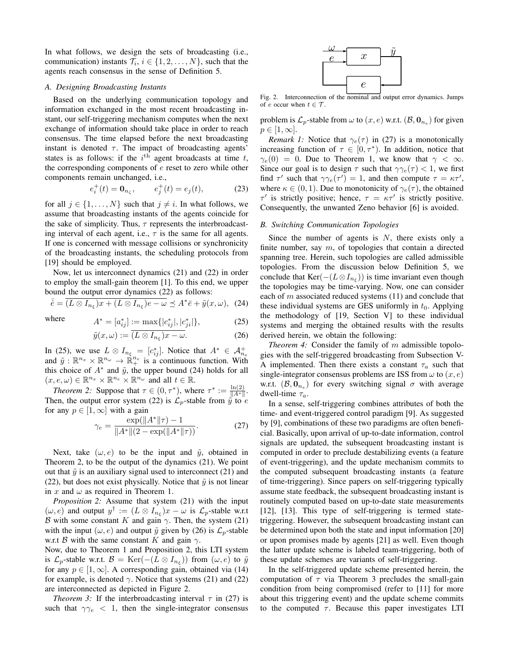In what follows, we design the sets of broadcasting (i.e., communication) instants  $\mathcal{T}_i$ ,  $i \in \{1, 2, ..., N\}$ , such that the agents reach consensus in the sense of Definition 5.

### *A. Designing Broadcasting Instants*

Based on the underlying communication topology and information exchanged in the most recent broadcasting instant, our self-triggering mechanism computes when the next exchange of information should take place in order to reach consensus. The time elapsed before the next broadcasting instant is denoted  $\tau$ . The impact of broadcasting agents' states is as follows: if the  $i^{\text{th}}$  agent broadcasts at time t, the corresponding components of e reset to zero while other components remain unchanged, i.e.,

$$
e_i^+(t) = \mathbf{0}_{n_\zeta}, \qquad e_j^+(t) = e_j(t),
$$
 (23)

for all  $j \in \{1, \ldots, N\}$  such that  $j \neq i$ . In what follows, we assume that broadcasting instants of the agents coincide for the sake of simplicity. Thus,  $\tau$  represents the interbroadcasting interval of each agent, i.e.,  $\tau$  is the same for all agents. If one is concerned with message collisions or synchronicity of the broadcasting instants, the scheduling protocols from [19] should be employed.

Now, let us interconnect dynamics (21) and (22) in order to employ the small-gain theorem [1]. To this end, we upper bound the output error dynamics (22) as follows:

$$
\bar{e} = \overline{(L \otimes I_{n_{\xi}})x + (L \otimes I_{n_{\xi}})e - \omega} \preceq A^* \bar{e} + \tilde{y}(x, \omega), \tag{24}
$$

where

$$
A^* = [a_{ij}^*] := \max\{|c_{ij}^*|, |c_{ji}^*|\},
$$
  
\n
$$
\tilde{y}(x,\omega) := \overline{(L \otimes I_{n_{\xi}})x - \omega}.
$$
\n(25)

In (25), we use  $L \otimes I_{n_{\xi}} = [c_{ij}^*]$ . Notice that  $A^* \in \mathcal{A}_{n_e}^+$ and  $\tilde{y}: \mathbb{R}^{n_x} \times \mathbb{R}^{n_\omega} \to \mathbb{R}^{n_e}$  is a continuous function. With this choice of  $A^*$  and  $\tilde{y}$ , the upper bound (24) holds for all  $(x, e, \omega) \in \mathbb{R}^{n_x} \times \mathbb{R}^{n_e} \times \mathbb{R}^{n_\omega}$  and all  $t \in \mathbb{R}$ .

*Theorem 2:* Suppose that  $\tau \in (0, \tau^*)$ , where  $\tau^* := \frac{\ln(2)}{\|A^*\|}$ . Then, the output error system (22) is  $\mathcal{L}_p$ -stable from  $\tilde{y}$  to  $e$ for any  $p \in [1,\infty]$  with a gain

$$
\gamma_e = \frac{\exp(\|A^*\|\tau) - 1}{\|A^*\|(2 - \exp(\|A^*\|\tau))}.
$$
 (27)

Next, take  $(\omega, e)$  to be the input and  $\tilde{y}$ , obtained in Theorem 2, to be the output of the dynamics (21). We point out that  $\tilde{y}$  is an auxiliary signal used to interconnect (21) and (22), but does not exist physically. Notice that  $\tilde{\mathbf{y}}$  is not linear in x and  $\omega$  as required in Theorem 1.

*Proposition 2:* Assume that system (21) with the input  $(\omega, e)$  and output  $y^{\dagger} := (L \otimes I_{n_{\xi}})x - \omega$  is  $\mathcal{L}_p$ -stable w.r.t B with some constant K and gain  $\gamma$ . Then, the system (21) with the input  $(\omega, e)$  and output  $\tilde{y}$  given by (26) is  $\mathcal{L}_p$ -stable w.r.t B with the same constant K and gain  $\gamma$ .

Now, due to Theorem 1 and Proposition 2, this LTI system is  $\mathcal{L}_p$ -stable w.r.t.  $\mathcal{B} = \text{Ker}(-(L \otimes I_{n_{\xi}}))$  from  $(\omega, e)$  to  $\tilde{y}$ for any  $p \in [1,\infty]$ . A corresponding gain, obtained via (14) for example, is denoted  $\gamma$ . Notice that systems (21) and (22) are interconnected as depicted in Figure 2.

*Theorem 3:* If the interbroadcasting interval  $\tau$  in (27) is such that  $\gamma \gamma_e$  < 1, then the single-integrator consensus



Fig. 2. Interconnection of the nominal and output error dynamics. Jumps of e occur when  $t \in \mathcal{T}$ .

problem is  $\mathcal{L}_p$ -stable from  $\omega$  to  $(x, e)$  w.r.t.  $(\mathcal{B}, \mathbf{0}_{n_e})$  for given  $p \in [1,\infty].$ 

*Remark 1:* Notice that  $\gamma_e(\tau)$  in (27) is a monotonically increasing function of  $\tau \in [0, \tau^* )$ . In addition, notice that  $\gamma_e(0) = 0$ . Due to Theorem 1, we know that  $\gamma < \infty$ . Since our goal is to design  $\tau$  such that  $\gamma \gamma_e(\tau) < 1$ , we first find  $\tau'$  such that  $\gamma \gamma_e(\tau') = 1$ , and then compute  $\tau = \kappa \tau'$ , where  $\kappa \in (0, 1)$ . Due to monotonicity of  $\gamma_e(\tau)$ , the obtained  $\tau'$  is strictly positive; hence,  $\tau = \kappa \tau'$  is strictly positive. Consequently, the unwanted Zeno behavior [6] is avoided.

#### *B. Switching Communication Topologies*

Since the number of agents is  $N$ , there exists only a finite number, say  $m$ , of topologies that contain a directed spanning tree. Herein, such topologies are called admissible topologies. From the discussion below Definition 5, we conclude that Ker $(-(L \otimes I_{n_{\xi}}))$  is time invariant even though the topologies may be time-varying. Now, one can consider each of  $m$  associated reduced systems  $(11)$  and conclude that these individual systems are GES uniformly in  $t_0$ . Applying the methodology of [19, Section V] to these individual systems and merging the obtained results with the results derived herein, we obtain the following:

*Theorem 4:* Consider the family of m admissible topologies with the self-triggered broadcasting from Subsection V-A implemented. Then there exists a constant  $\tau_a$  such that single-integrator consensus problems are ISS from  $\omega$  to  $(x, e)$ w.r.t.  $(\mathcal{B}, \mathbf{0}_{n_e})$  for every switching signal  $\sigma$  with average dwell-time  $\tau_a$ .

In a sense, self-triggering combines attributes of both the time- and event-triggered control paradigm [9]. As suggested by [9], combinations of these two paradigms are often beneficial. Basically, upon arrival of up-to-date information, control signals are updated, the subsequent broadcasting instant is computed in order to preclude destabilizing events (a feature of event-triggering), and the update mechanism commits to the computed subsequent broadcasting instants (a feature of time-triggering). Since papers on self-triggering typically assume state feedback, the subsequent broadcasting instant is routinely computed based on up-to-date state measurements [12], [13]. This type of self-triggering is termed statetriggering. However, the subsequent broadcasting instant can be determined upon both the state and input information [20] or upon promises made by agents [21] as well. Even though the latter update scheme is labeled team-triggering, both of these update schemes are variants of self-triggering.

In the self-triggered update scheme presented herein, the computation of  $\tau$  via Theorem 3 precludes the small-gain condition from being compromised (refer to [11] for more about this triggering event) and the update scheme commits to the computed  $\tau$ . Because this paper investigates LTI